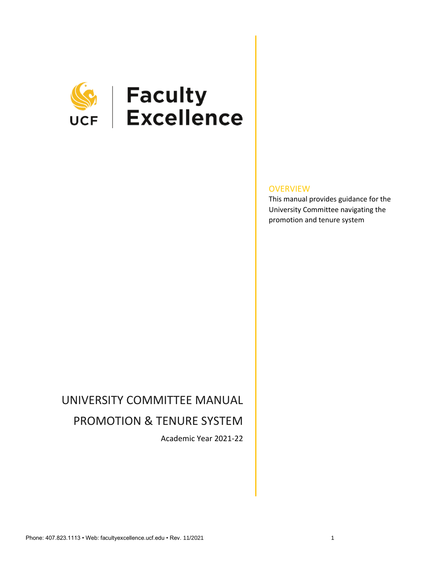

# **SEPTE HEADLESS**<br>UCF Excellence

#### **OVERVIEW**

This manual provides guidance for the University Committee navigating the promotion and tenure system

# UNIVERSITY COMMITTEE MANUAL PROMOTION & TENURE SYSTEM

Academic Year 2021-22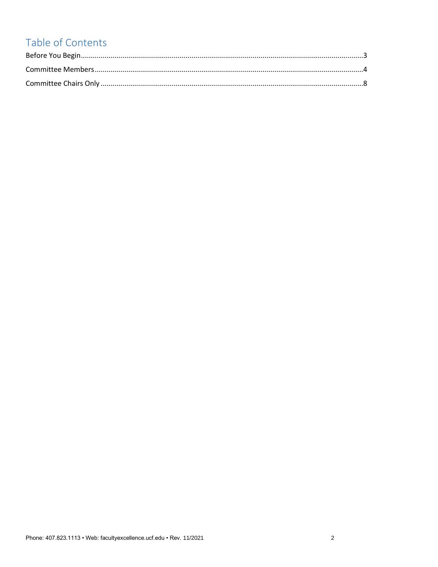## Table of Contents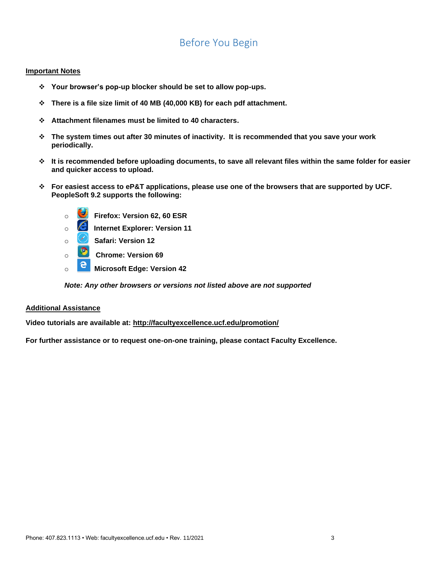## Before You Begin

#### <span id="page-2-0"></span>**Important Notes**

- ❖ **Your browser's pop-up blocker should be set to allow pop-ups.**
- ❖ **There is a file size limit of 40 MB (40,000 KB) for each pdf attachment.**
- ❖ **Attachment filenames must be limited to 40 characters.**
- ❖ **The system times out after 30 minutes of inactivity. It is recommended that you save your work periodically.**
- ❖ **It is recommended before uploading documents, to save all relevant files within the same folder for easier and quicker access to upload.**
- ❖ **For easiest access to eP&T applications, please use one of the browsers that are supported by UCF. PeopleSoft 9.2 supports the following:**
	- o **Firefox: Version 62, 60 ESR**
	- o **Internet Explorer: Version 11**
	- o **Safari: Version 12**
	- o **Chrome: Version 69**
	- o **Microsoft Edge: Version 42**

*Note: Any other browsers or versions not listed above are not supported*

#### **Additional Assistance**

**Video tutorials are available at:<http://facultyexcellence.ucf.edu/promotion/>**

**For further assistance or to request one-on-one training, please contact Faculty Excellence.**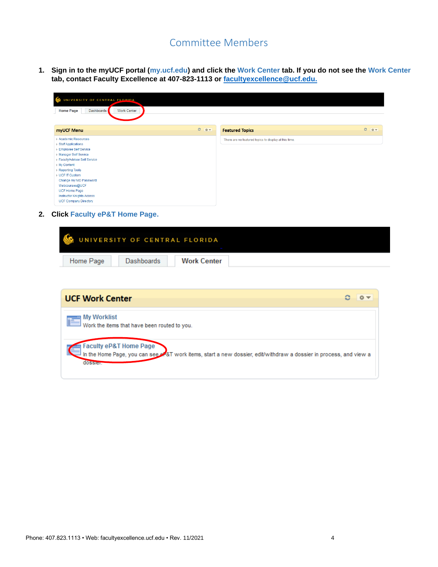### Committee Members

<span id="page-3-0"></span>**1. Sign in to the myUCF portal (my.ucf.edu) and click the Work Center tab. If you do not see the Work Center tab, contact Faculty Excellence at 407-823-1113 or [facultyexcellence@ucf.edu.](mailto:facultyexcellence@ucf.edu)**

| $\infty$<br>UNIVERSITY OF CENTRAL FLORIDA<br><b>Work Center</b><br><b>Home Page</b><br><b>Dashboards</b>                                                                                                                                                                                                                       |           |                                                       |           |  |  |  |  |  |
|--------------------------------------------------------------------------------------------------------------------------------------------------------------------------------------------------------------------------------------------------------------------------------------------------------------------------------|-----------|-------------------------------------------------------|-----------|--|--|--|--|--|
| myUCF Menu                                                                                                                                                                                                                                                                                                                     | $C = 0 -$ | <b>Featured Topics</b>                                | $C = 0 -$ |  |  |  |  |  |
| Academic Resources<br>▶ Staff Applications<br>Employee Self Service<br>Manager Self Service<br>Faculty/Advisor Self Service<br>▶ My Content<br>Reporting Tools<br><b>UCF IT Custom</b><br>Change my NID Password<br>Webcourses@UCF<br><b>UCF Home Page</b><br><b>Instructor Knights Access</b><br><b>UCF Company Directory</b> |           | There are no featured topics to display at this time. |           |  |  |  |  |  |

**2. Click Faculty eP&T Home Page.**

| Ī         | UNIVERSITY OF CENTRAL FLORIDA |                    |  |  |
|-----------|-------------------------------|--------------------|--|--|
| Home Page | <b>Dashboards</b>             | <b>Work Center</b> |  |  |

| <b>UCF Work Center</b>                                                                                                       |  |
|------------------------------------------------------------------------------------------------------------------------------|--|
| My Worklist<br>Work the items that have been routed to you.                                                                  |  |
| In the Home Page, you can see wat work items, start a new dossier, edit/withdraw a dossier in process, and view a<br>dossier |  |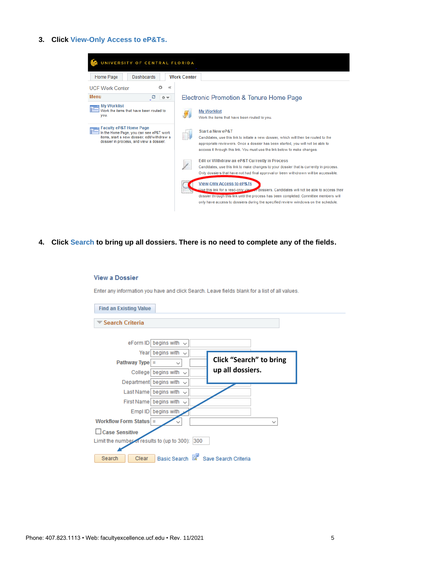#### **3. Click View-Only Access to eP&Ts.**



**4. Click Search to bring up all dossiers. There is no need to complete any of the fields.**

#### **View a Dossier** Enter any information you have and click Search. Leave fields blank for a list of all values. **Find an Existing Value** Search Criteria eForm ID begins with  $\sqrt{}$ Year begins with  $\sim$ **Click "Search" to bring**  Pathway Type  $=$  $\checkmark$ **up all dossiers.**College begins with  $\sim$ Department begins with  $\sqrt{}$ Last Name begins with  $\sqrt{}$ First Name begins with  $\sqrt{}$ Empl ID begins with **Workflow Form Status**  $\checkmark$  $\checkmark$ □ Case Sensitive Limit the number of results to (up to 300): 300 Basic Search <sup>@</sup> Save Search Criteria Search Clear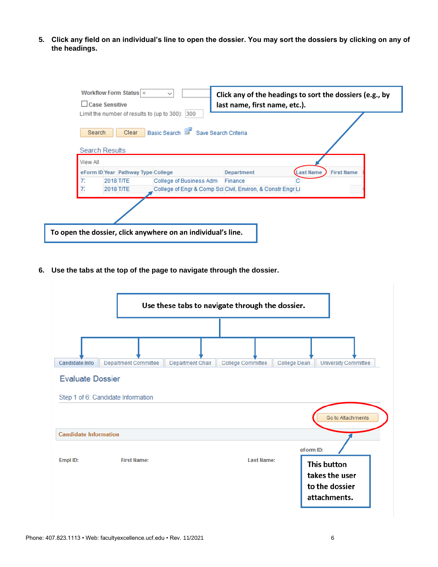**5. Click any field on an individual's line to open the dossier. You may sort the dossiers by clicking on any of the headings.**

| Case Sensitive                    |           | Workflow Form Status $=$           |                                                                                        | last name, first name, etc.). | Click any of the headings to sort the dossiers (e.g., by |
|-----------------------------------|-----------|------------------------------------|----------------------------------------------------------------------------------------|-------------------------------|----------------------------------------------------------|
| Search                            |           | <b>Clear</b>                       | Limit the number of results to (up to 300): 300<br>Basic Search & Save Search Criteria |                               |                                                          |
| <b>Search Results</b><br>View All |           |                                    |                                                                                        |                               |                                                          |
|                                   |           | eForm ID Year Pathway Type College |                                                                                        | Department                    | ast Name<br><b>First Name</b>                            |
|                                   | 2018 T/TE |                                    | College of Business Adm                                                                | Finance                       |                                                          |
|                                   | 2018 T/TE |                                    | College of Engr & Comp Sci Civil, Environ, & Constr Engr Li                            |                               |                                                          |

**6. Use the tabs at the top of the page to navigate through the dossier.**

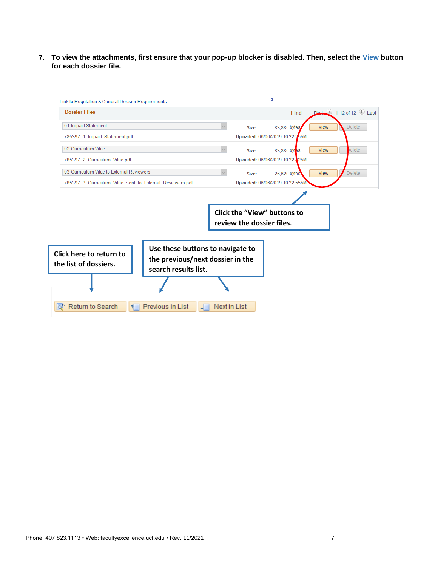**7. To view the attachments, first ensure that your pop-up blocker is disabled. Then, select the View button for each dossier file.**

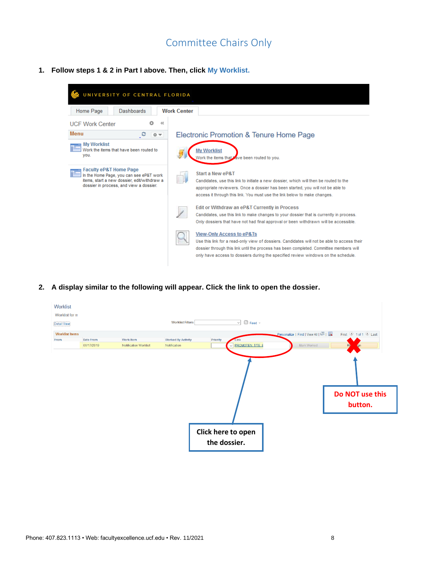## Committee Chairs Only

<span id="page-7-0"></span>**1. Follow steps 1 & 2 in Part I above. Then, click My Worklist.**



**2. A display similar to the following will appear. Click the link to open the dossier.**

| Worklist<br>Worklist for rr |            |                       |                           |                    |                                    |                                   |                            |
|-----------------------------|------------|-----------------------|---------------------------|--------------------|------------------------------------|-----------------------------------|----------------------------|
| <b>Detail View</b>          |            |                       | <b>Worklist Filters</b>   |                    | $\Box$ Feed $\sim$<br>$\checkmark$ |                                   |                            |
| <b>Worklist Items</b>       |            |                       |                           |                    |                                    | Personalize   Find   View All   2 | First 1 of 1 2 Last        |
| From                        | Date From  | <b>Work Item</b>      | <b>Worked By Activity</b> | Priority           | Link                               |                                   |                            |
|                             | 06/17/2019 | Notification Worklist | Notification              | $\vee$             | PROMOTEN: T/TE: B                  | Mark Worked                       | Rè<br><b>on</b>            |
|                             |            |                       |                           |                    |                                    |                                   | Do NOT use this<br>button. |
|                             |            |                       |                           | Click here to open |                                    |                                   |                            |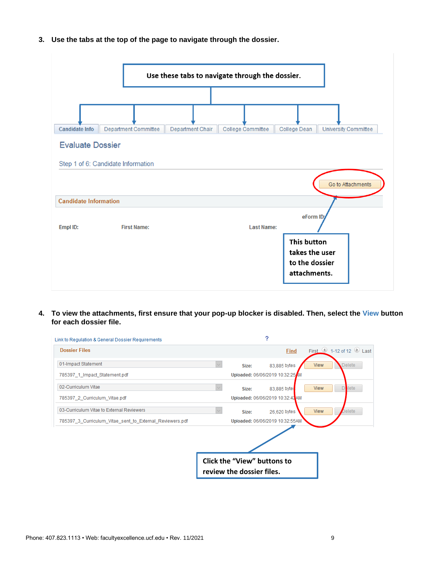**3. Use the tabs at the top of the page to navigate through the dossier.**



**4. To view the attachments, first ensure that your pop-up blocker is disabled. Then, select the View button for each dossier file.**

|       | 2            |                                                                                                                                                                           |                         |
|-------|--------------|---------------------------------------------------------------------------------------------------------------------------------------------------------------------------|-------------------------|
|       | Find         |                                                                                                                                                                           | First 1-12 of 12 D Last |
| Size: | 83,885 bytes | View                                                                                                                                                                      | <b>Delete</b>           |
|       |              |                                                                                                                                                                           |                         |
| Size: | 83,885 bytes | <b>View</b>                                                                                                                                                               | D <sub>elete</sub>      |
|       |              |                                                                                                                                                                           |                         |
| Size: | 26,620 bytes | <b>View</b>                                                                                                                                                               | Delete                  |
|       |              |                                                                                                                                                                           |                         |
|       |              |                                                                                                                                                                           |                         |
|       |              | Uploaded: 06/06/2019 10:32:25 M<br>Uploaded: 06/06/2019 10:32:42 AM<br>Uploaded: 06/06/2019 10:32:55AM<br><b>Click the "View" buttons to</b><br>review the dossier files. |                         |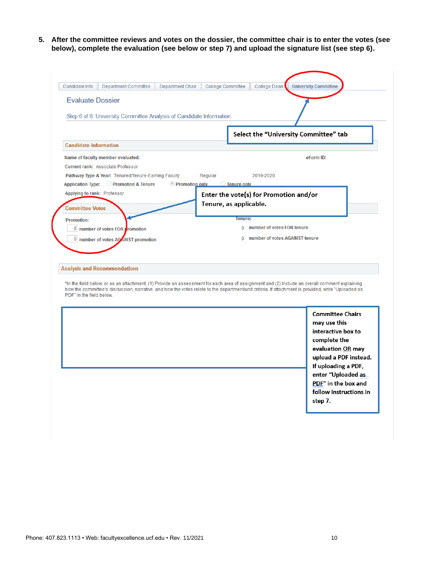**5. After the committee reviews and votes on the dossier, the committee chair is to enter the votes (see below), complete the evaluation (see below or step 7) and upload the signature list (see step 6).**

| Candidate Info               | Department Committee                                                                                                                                                                                                                                                                                | Department Chair | <b>College Committee</b>               | College Dean                   | <b>University Committee</b>           |                                                                                                                    |
|------------------------------|-----------------------------------------------------------------------------------------------------------------------------------------------------------------------------------------------------------------------------------------------------------------------------------------------------|------------------|----------------------------------------|--------------------------------|---------------------------------------|--------------------------------------------------------------------------------------------------------------------|
| <b>Evaluate Dossier</b>      |                                                                                                                                                                                                                                                                                                     |                  |                                        |                                |                                       |                                                                                                                    |
|                              | Step 6 of 6: University Committee Analysis of Candidate Information                                                                                                                                                                                                                                 |                  |                                        |                                |                                       |                                                                                                                    |
|                              |                                                                                                                                                                                                                                                                                                     |                  |                                        |                                |                                       |                                                                                                                    |
| <b>Candidate Information</b> |                                                                                                                                                                                                                                                                                                     |                  |                                        |                                | Select the "University Committee" tab |                                                                                                                    |
|                              | Name of faculty member evaluated:                                                                                                                                                                                                                                                                   |                  |                                        |                                | eForm ID:                             |                                                                                                                    |
|                              | Current rank: Associate Professor                                                                                                                                                                                                                                                                   |                  |                                        |                                |                                       |                                                                                                                    |
|                              | Pathway Type & Year: Tenured/Tenure-Earning Faculty                                                                                                                                                                                                                                                 |                  | Regular                                | 2019-2020                      |                                       |                                                                                                                    |
|                              | Application Type: C Promotion & Tenure                                                                                                                                                                                                                                                              | Promotion only   | $\bigcirc$ Tenure only                 |                                |                                       |                                                                                                                    |
| Applying to rank: Professor  |                                                                                                                                                                                                                                                                                                     |                  | Enter the vote(s) for Promotion and/or |                                |                                       |                                                                                                                    |
| <b>Committee Votes</b>       |                                                                                                                                                                                                                                                                                                     |                  | Tenure, as applicable.                 |                                |                                       |                                                                                                                    |
|                              |                                                                                                                                                                                                                                                                                                     |                  | Tenure:                                |                                |                                       |                                                                                                                    |
| <b>Promotion:</b>            | <sup>0</sup> number of votes FOR <b>F</b> romotion                                                                                                                                                                                                                                                  |                  | 0                                      | number of votes FOR tenure     |                                       |                                                                                                                    |
|                              | 0 number of votes ACAINST promotion                                                                                                                                                                                                                                                                 |                  |                                        | number of votes AGAINST tenure |                                       |                                                                                                                    |
|                              |                                                                                                                                                                                                                                                                                                     |                  |                                        |                                |                                       |                                                                                                                    |
|                              | <b>Analysis and Recommendations</b>                                                                                                                                                                                                                                                                 |                  |                                        |                                |                                       |                                                                                                                    |
| PDF" in the field below.     | *In the field below, or as an attachment, (1) Provide an assessment for each area of assignment and (2) Include an overall comment explaining<br>how the committee's discussion, narrative, and how the votes relate to the department/unit criteria. If attachment is provided, write "Uploaded as |                  |                                        |                                |                                       |                                                                                                                    |
|                              |                                                                                                                                                                                                                                                                                                     |                  |                                        |                                | may use this<br>complete the          | <b>Committee Chairs</b><br>interactive box to<br>evaluation OR may<br>upload a PDF instead.<br>If uploading a PDF, |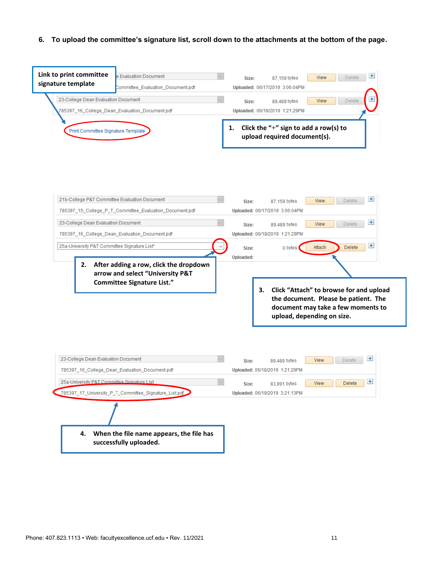#### **6. To upload the committee's signature list, scroll down to the attachments at the bottom of the page.**

| Link to print committee                       | e Evaluation Document                                              | $+$<br>Delete<br>View<br>87,159 bytes<br>Size:                                                                                                            |
|-----------------------------------------------|--------------------------------------------------------------------|-----------------------------------------------------------------------------------------------------------------------------------------------------------|
| signature template                            | Committee_Evaluation_Document.pdf                                  | Uploaded: 06/17/2019 3:06:04PM                                                                                                                            |
| 23-College Dean Evaluation Document           |                                                                    | View<br>Delete<br>89,489 bytes<br>Size:                                                                                                                   |
|                                               | 785397_16_College_Dean_Evaluation_Document.pdf                     | Uploaded: 06/18/2019 1:21:29PM                                                                                                                            |
|                                               |                                                                    |                                                                                                                                                           |
| Print Committee Signature Template            |                                                                    | Click the " $+$ " sign to add a row(s) to<br>1.<br>upload required document(s).                                                                           |
| 21b-College P&T Committee Evaluation Document | 785397_15_College_P_T_Committee_Evaluation_Document.pdf            | $+$<br>View<br>Delete<br>87,159 bytes<br>Size:<br>Uploaded: 06/17/2019 3:06:04PM                                                                          |
|                                               |                                                                    |                                                                                                                                                           |
| 23-College Dean Evaluation Document           |                                                                    | 王<br>View<br><b>Delete</b><br>Size:<br>89,489 bytes                                                                                                       |
|                                               | 785397_16_College_Dean_Evaluation_Document.pdf                     | Uploaded: 06/18/2019 1:21:29PM                                                                                                                            |
| 25a-University P&T Committee Signature List*  |                                                                    | $+$<br>Attach<br>Delete<br>0 bytes<br>Size:                                                                                                               |
| 2.                                            | After adding a row, click the dropdown                             | Uploaded:                                                                                                                                                 |
|                                               | arrow and select "University P&T                                   |                                                                                                                                                           |
|                                               | <b>Committee Signature List."</b>                                  | Click "Attach" to browse for and upload<br>3.<br>the document. Please be patient. The<br>document may take a few moments to<br>upload, depending on size. |
| 23-College Dean Evaluation Document           | 785397_16_College_Dean_Evaluation_Document.pdf                     | $\pm$<br><b>Delete</b><br><b>View</b><br>Size:<br>89,489 bytes<br>Uploaded: 06/18/2019 1:21:29PM                                                          |
| 25a-University P&T Committee Signature List   |                                                                    | $\pm$<br>View<br>Delete<br>83,991 bytes<br>Size:                                                                                                          |
|                                               | 785397_17_University_P_T_Committee_Signature_List.pdf              | Uploaded: 06/19/2019 3:21:13PM                                                                                                                            |
| 4.                                            | When the file name appears, the file has<br>successfully uploaded. |                                                                                                                                                           |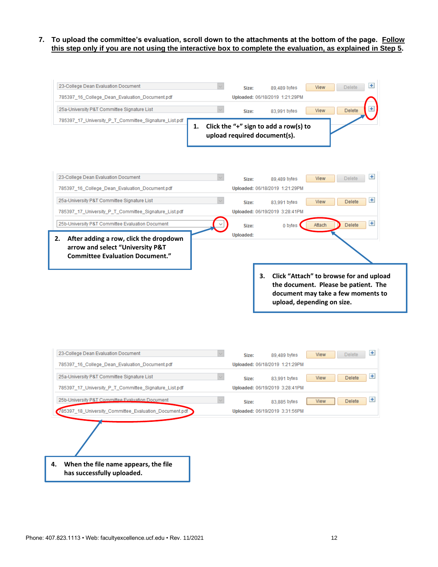**7. To upload the committee's evaluation, scroll down to the attachments at the bottom of the page. Follow this step only if you are not using the interactive box to complete the evaluation, as explained in Step 5.**